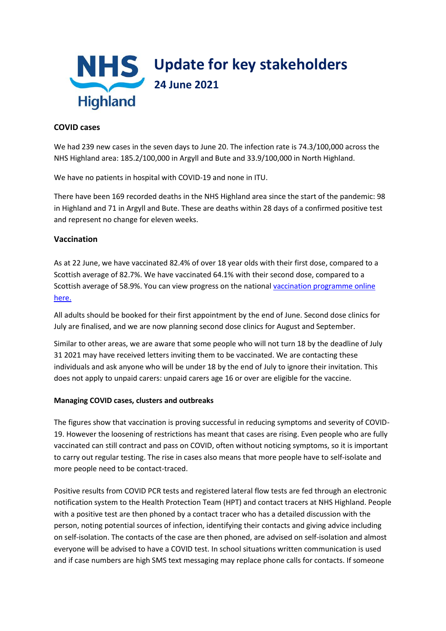

## **COVID cases**

We had 239 new cases in the seven days to June 20. The infection rate is 74.3/100,000 across the NHS Highland area: 185.2/100,000 in Argyll and Bute and 33.9/100,000 in North Highland.

We have no patients in hospital with COVID-19 and none in ITU.

There have been 169 recorded deaths in the NHS Highland area since the start of the pandemic: 98 in Highland and 71 in Argyll and Bute. These are deaths within 28 days of a confirmed positive test and represent no change for eleven weeks.

## **Vaccination**

As at 22 June, we have vaccinated 82.4% of over 18 year olds with their first dose, compared to a Scottish average of 82.7%. We have vaccinated 64.1% with their second dose, compared to a Scottish average of 58.9%. You can view progress on the nationa[l vaccination programme online](https://public.tableau.com/profile/phs.covid.19#!/vizhome/COVID-19DailyDashboard_15960160643010/Overview)  [here.](https://public.tableau.com/profile/phs.covid.19#!/vizhome/COVID-19DailyDashboard_15960160643010/Overview)

All adults should be booked for their first appointment by the end of June. Second dose clinics for July are finalised, and we are now planning second dose clinics for August and September.

Similar to other areas, we are aware that some people who will not turn 18 by the deadline of July 31 2021 may have received letters inviting them to be vaccinated. We are contacting these individuals and ask anyone who will be under 18 by the end of July to ignore their invitation. This does not apply to unpaid carers: unpaid carers age 16 or over are eligible for the vaccine.

## **Managing COVID cases, clusters and outbreaks**

The figures show that vaccination is proving successful in reducing symptoms and severity of COVID-19. However the loosening of restrictions has meant that cases are rising. Even people who are fully vaccinated can still contract and pass on COVID, often without noticing symptoms, so it is important to carry out regular testing. The rise in cases also means that more people have to self-isolate and more people need to be contact-traced.

Positive results from COVID PCR tests and registered lateral flow tests are fed through an electronic notification system to the Health Protection Team (HPT) and contact tracers at NHS Highland. People with a positive test are then phoned by a contact tracer who has a detailed discussion with the person, noting potential sources of infection, identifying their contacts and giving advice including on self-isolation. The contacts of the case are then phoned, are advised on self-isolation and almost everyone will be advised to have a COVID test. In school situations written communication is used and if case numbers are high SMS text messaging may replace phone calls for contacts. If someone